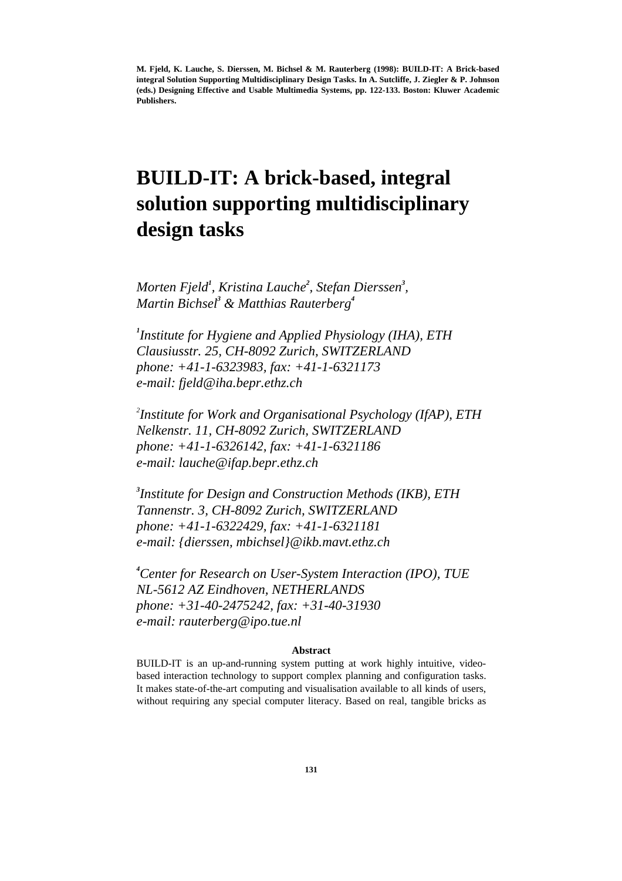# **BUILD-IT: A brick-based, integral solution supporting multidisciplinary design tasks**

*Morten Fjeld<sup>1</sup> , Kristina Lauche<sup>2</sup> , Stefan Dierssen<sup>3</sup> , Martin Bichsel<sup>3</sup> & Matthias Rauterberg<sup>4</sup>*

*1 Institute for Hygiene and Applied Physiology (IHA), ETH Clausiusstr. 25, CH-8092 Zurich, SWITZERLAND phone: +41-1-6323983, fax: +41-1-6321173 e-mail: fjeld@iha.bepr.ethz.ch*

*2 Institute for Work and Organisational Psychology (IfAP), ETH Nelkenstr. 11, CH-8092 Zurich, SWITZERLAND phone: +41-1-6326142, fax: +41-1-6321186 e-mail: lauche@ifap.bepr.ethz.ch*

*3 Institute for Design and Construction Methods (IKB), ETH Tannenstr. 3, CH-8092 Zurich, SWITZERLAND phone: +41-1-6322429, fax: +41-1-6321181 e-mail: {dierssen, mbichsel}@ikb.mavt.ethz.ch*

*4 Center for Research on User-System Interaction (IPO), TUE NL-5612 AZ Eindhoven, NETHERLANDS phone: +31-40-2475242, fax: +31-40-31930 e-mail: rauterberg@ipo.tue.nl*

#### **Abstract**

BUILD-IT is an up-and-running system putting at work highly intuitive, videobased interaction technology to support complex planning and configuration tasks. It makes state-of-the-art computing and visualisation available to all kinds of users, without requiring any special computer literacy. Based on real, tangible bricks as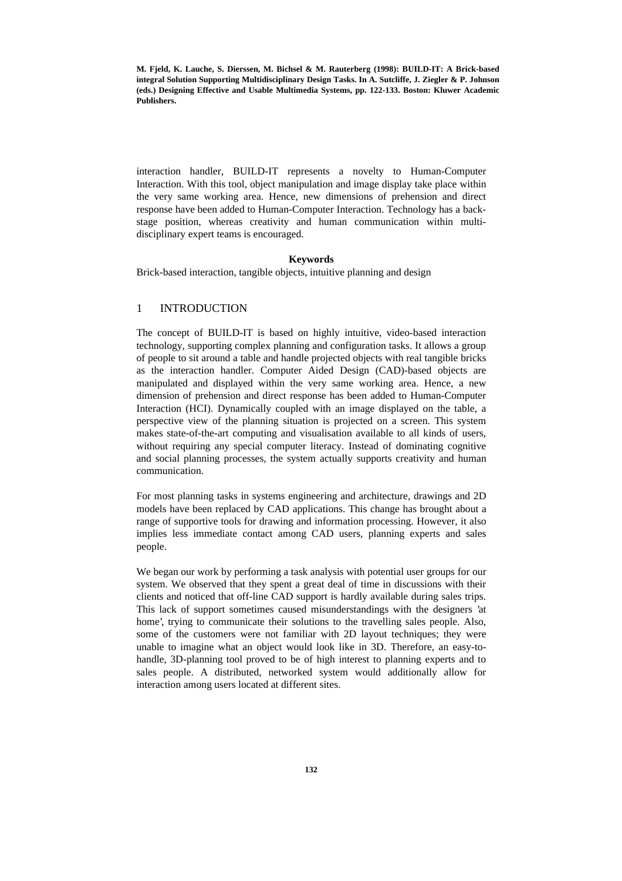interaction handler, BUILD-IT represents a novelty to Human-Computer Interaction. With this tool, object manipulation and image display take place within the very same working area. Hence, new dimensions of prehension and direct response have been added to Human-Computer Interaction. Technology has a backstage position, whereas creativity and human communication within multidisciplinary expert teams is encouraged.

#### **Keywords**

Brick-based interaction, tangible objects, intuitive planning and design

### 1 INTRODUCTION

The concept of BUILD-IT is based on highly intuitive, video-based interaction technology, supporting complex planning and configuration tasks. It allows a group of people to sit around a table and handle projected objects with real tangible bricks as the interaction handler. Computer Aided Design (CAD)-based objects are manipulated and displayed within the very same working area. Hence, a new dimension of prehension and direct response has been added to Human-Computer Interaction (HCI). Dynamically coupled with an image displayed on the table, a perspective view of the planning situation is projected on a screen. This system makes state-of-the-art computing and visualisation available to all kinds of users, without requiring any special computer literacy. Instead of dominating cognitive and social planning processes, the system actually supports creativity and human communication.

For most planning tasks in systems engineering and architecture, drawings and 2D models have been replaced by CAD applications. This change has brought about a range of supportive tools for drawing and information processing. However, it also implies less immediate contact among CAD users, planning experts and sales people.

We began our work by performing a task analysis with potential user groups for our system. We observed that they spent a great deal of time in discussions with their clients and noticed that off-line CAD support is hardly available during sales trips. This lack of support sometimes caused misunderstandings with the designers 'at home', trying to communicate their solutions to the travelling sales people. Also, some of the customers were not familiar with 2D layout techniques; they were unable to imagine what an object would look like in 3D. Therefore, an easy-tohandle, 3D-planning tool proved to be of high interest to planning experts and to sales people. A distributed, networked system would additionally allow for interaction among users located at different sites.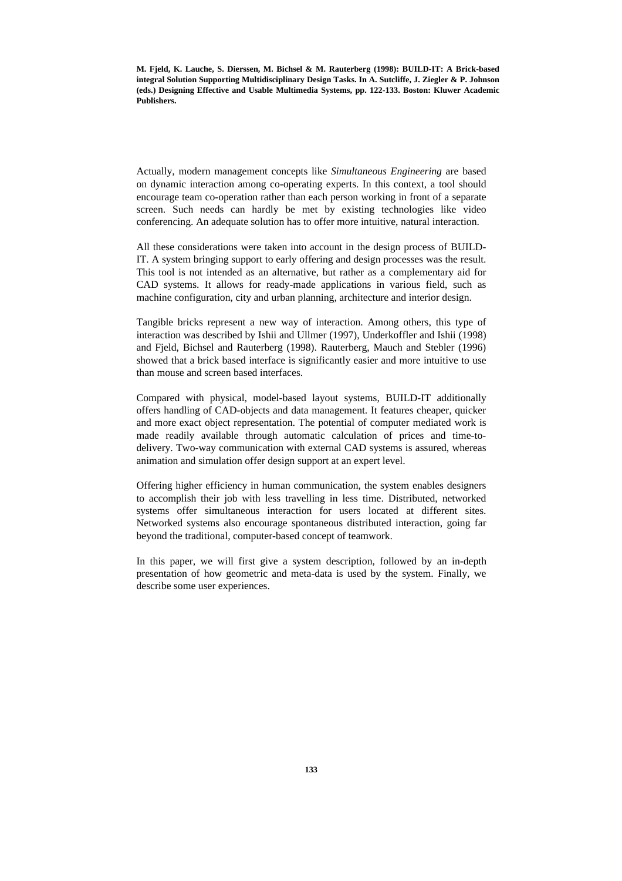Actually, modern management concepts like *Simultaneous Engineering* are based on dynamic interaction among co-operating experts. In this context, a tool should encourage team co-operation rather than each person working in front of a separate screen. Such needs can hardly be met by existing technologies like video conferencing. An adequate solution has to offer more intuitive, natural interaction.

All these considerations were taken into account in the design process of BUILD-IT. A system bringing support to early offering and design processes was the result. This tool is not intended as an alternative, but rather as a complementary aid for CAD systems. It allows for ready-made applications in various field, such as machine configuration, city and urban planning, architecture and interior design.

Tangible bricks represent a new way of interaction. Among others, this type of interaction was described by Ishii and Ullmer (1997), Underkoffler and Ishii (1998) and Fjeld, Bichsel and Rauterberg (1998). Rauterberg, Mauch and Stebler (1996) showed that a brick based interface is significantly easier and more intuitive to use than mouse and screen based interfaces.

Compared with physical, model-based layout systems, BUILD-IT additionally offers handling of CAD-objects and data management. It features cheaper, quicker and more exact object representation. The potential of computer mediated work is made readily available through automatic calculation of prices and time-todelivery. Two-way communication with external CAD systems is assured, whereas animation and simulation offer design support at an expert level.

Offering higher efficiency in human communication, the system enables designers to accomplish their job with less travelling in less time. Distributed, networked systems offer simultaneous interaction for users located at different sites. Networked systems also encourage spontaneous distributed interaction, going far beyond the traditional, computer-based concept of teamwork.

In this paper, we will first give a system description, followed by an in-depth presentation of how geometric and meta-data is used by the system. Finally, we describe some user experiences.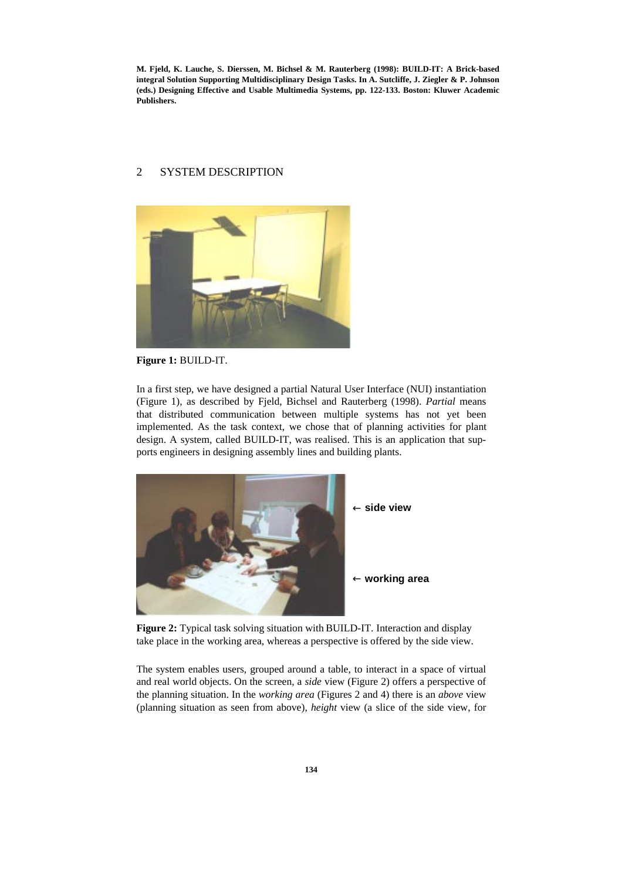# 2 SYSTEM DESCRIPTION



**Figure 1:** BUILD-IT.

In a first step, we have designed a partial Natural User Interface (NUI) instantiation (Figure 1), as described by Fjeld, Bichsel and Rauterberg (1998). *Partial* means that distributed communication between multiple systems has not yet been implemented. As the task context, we chose that of planning activities for plant design. A system, called BUILD-IT, was realised. This is an application that supports engineers in designing assembly lines and building plants.





← **working area**

**Figure 2:** Typical task solving situation with BUILD-IT. Interaction and display take place in the working area, whereas a perspective is offered by the side view.

The system enables users, grouped around a table, to interact in a space of virtual and real world objects. On the screen, a *side* view (Figure 2) offers a perspective of the planning situation. In the *working area* (Figures 2 and 4) there is an *above* view (planning situation as seen from above), *height* view (a slice of the side view, for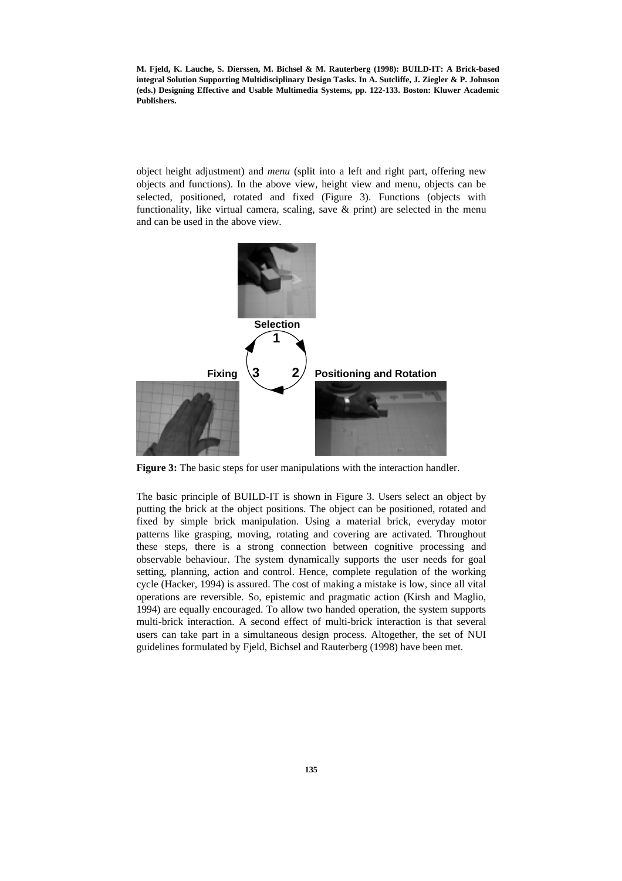object height adjustment) and *menu* (split into a left and right part, offering new objects and functions). In the above view, height view and menu, objects can be selected, positioned, rotated and fixed (Figure 3). Functions (objects with functionality, like virtual camera, scaling, save  $\&$  print) are selected in the menu and can be used in the above view.



**Figure 3:** The basic steps for user manipulations with the interaction handler.

The basic principle of BUILD-IT is shown in Figure 3. Users select an object by putting the brick at the object positions. The object can be positioned, rotated and fixed by simple brick manipulation. Using a material brick, everyday motor patterns like grasping, moving, rotating and covering are activated. Throughout these steps, there is a strong connection between cognitive processing and observable behaviour. The system dynamically supports the user needs for goal setting, planning, action and control. Hence, complete regulation of the working cycle (Hacker, 1994) is assured. The cost of making a mistake is low, since all vital operations are reversible. So, epistemic and pragmatic action (Kirsh and Maglio, 1994) are equally encouraged. To allow two handed operation, the system supports multi-brick interaction. A second effect of multi-brick interaction is that several users can take part in a simultaneous design process. Altogether, the set of NUI guidelines formulated by Fjeld, Bichsel and Rauterberg (1998) have been met.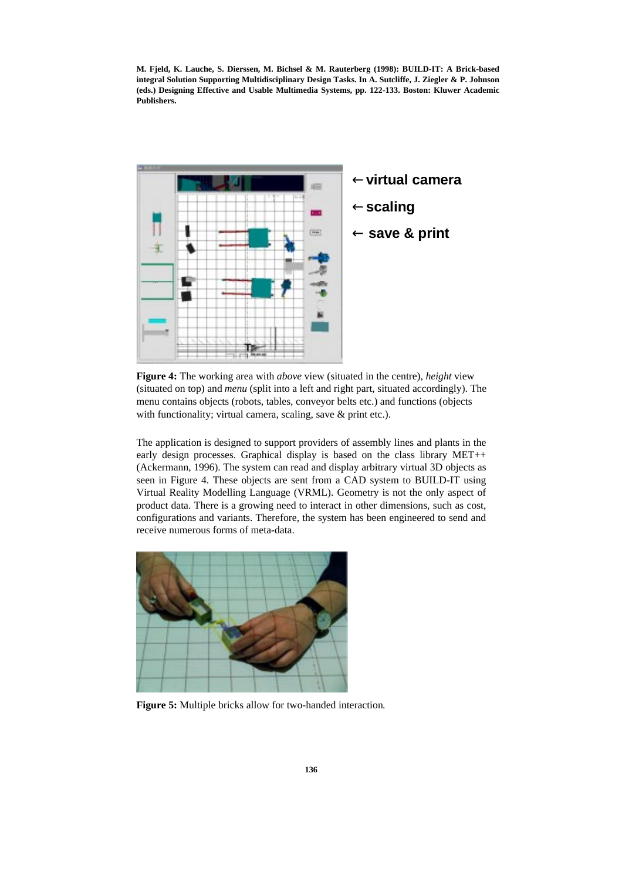

**Figure 4:** The working area with *above* view (situated in the centre), *height* view (situated on top) and *menu* (split into a left and right part, situated accordingly). The menu contains objects (robots, tables, conveyor belts etc.) and functions (objects with functionality; virtual camera, scaling, save & print etc.).

The application is designed to support providers of assembly lines and plants in the early design processes. Graphical display is based on the class library MET++ (Ackermann, 1996). The system can read and display arbitrary virtual 3D objects as seen in Figure 4. These objects are sent from a CAD system to BUILD-IT using Virtual Reality Modelling Language (VRML). Geometry is not the only aspect of product data. There is a growing need to interact in other dimensions, such as cost, configurations and variants. Therefore, the system has been engineered to send and receive numerous forms of meta-data.



**Figure 5:** Multiple bricks allow for two-handed interaction.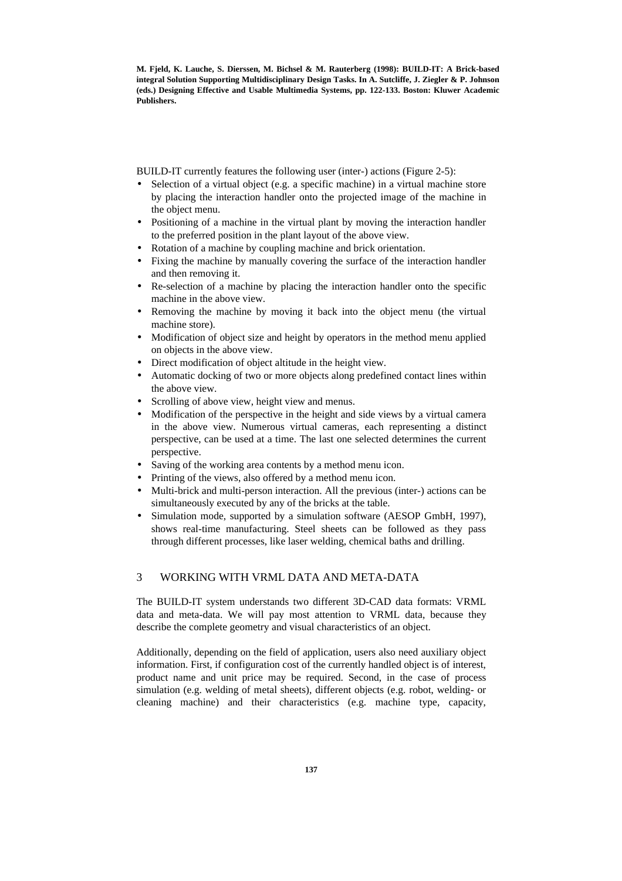BUILD-IT currently features the following user (inter-) actions (Figure 2-5):

- Selection of a virtual object (e.g. a specific machine) in a virtual machine store by placing the interaction handler onto the projected image of the machine in the object menu.
- Positioning of a machine in the virtual plant by moving the interaction handler to the preferred position in the plant layout of the above view.
- Rotation of a machine by coupling machine and brick orientation.
- Fixing the machine by manually covering the surface of the interaction handler and then removing it.
- Re-selection of a machine by placing the interaction handler onto the specific machine in the above view.
- Removing the machine by moving it back into the object menu (the virtual machine store).
- Modification of object size and height by operators in the method menu applied on objects in the above view.
- Direct modification of object altitude in the height view.
- Automatic docking of two or more objects along predefined contact lines within the above view.
- Scrolling of above view, height view and menus.
- Modification of the perspective in the height and side views by a virtual camera in the above view. Numerous virtual cameras, each representing a distinct perspective, can be used at a time. The last one selected determines the current perspective.
- Saving of the working area contents by a method menu icon.
- Printing of the views, also offered by a method menu icon.
- Multi-brick and multi-person interaction. All the previous (inter-) actions can be simultaneously executed by any of the bricks at the table.
- Simulation mode, supported by a simulation software (AESOP GmbH, 1997), shows real-time manufacturing. Steel sheets can be followed as they pass through different processes, like laser welding, chemical baths and drilling.

# 3 WORKING WITH VRML DATA AND META-DATA

The BUILD-IT system understands two different 3D-CAD data formats: VRML data and meta-data. We will pay most attention to VRML data, because they describe the complete geometry and visual characteristics of an object.

Additionally, depending on the field of application, users also need auxiliary object information. First, if configuration cost of the currently handled object is of interest, product name and unit price may be required. Second, in the case of process simulation (e.g. welding of metal sheets), different objects (e.g. robot, welding- or cleaning machine) and their characteristics (e.g. machine type, capacity,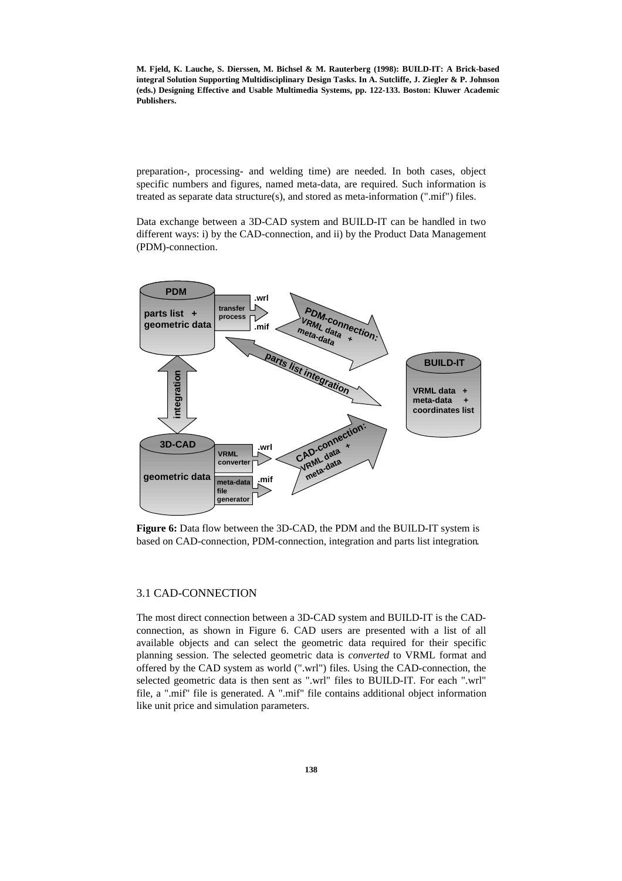preparation-, processing- and welding time) are needed. In both cases, object specific numbers and figures, named meta-data, are required. Such information is treated as separate data structure(s), and stored as meta-information (".mif") files.

Data exchange between a 3D-CAD system and BUILD-IT can be handled in two different ways: i) by the CAD-connection, and ii) by the Product Data Management (PDM)-connection.



**Figure 6:** Data flow between the 3D-CAD, the PDM and the BUILD-IT system is based on CAD-connection, PDM-connection, integration and parts list integration.

## 3.1 CAD-CONNECTION

The most direct connection between a 3D-CAD system and BUILD-IT is the CADconnection, as shown in Figure 6. CAD users are presented with a list of all available objects and can select the geometric data required for their specific planning session. The selected geometric data is *converted* to VRML format and offered by the CAD system as world (".wrl") files. Using the CAD-connection, the selected geometric data is then sent as ".wrl" files to BUILD-IT. For each ".wrl" file, a ".mif" file is generated. A ".mif" file contains additional object information like unit price and simulation parameters.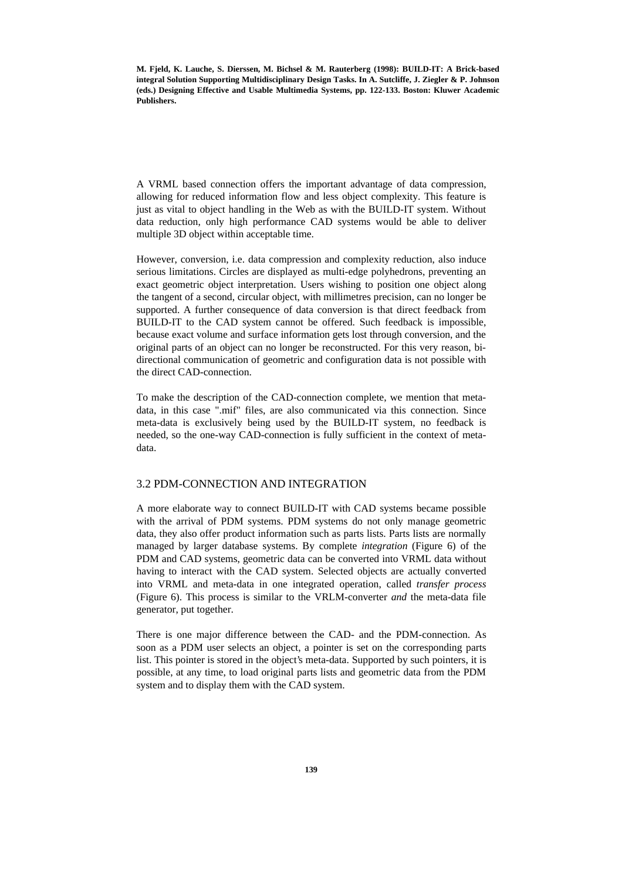A VRML based connection offers the important advantage of data compression, allowing for reduced information flow and less object complexity. This feature is just as vital to object handling in the Web as with the BUILD-IT system. Without data reduction, only high performance CAD systems would be able to deliver multiple 3D object within acceptable time.

However, conversion, i.e. data compression and complexity reduction, also induce serious limitations. Circles are displayed as multi-edge polyhedrons, preventing an exact geometric object interpretation. Users wishing to position one object along the tangent of a second, circular object, with millimetres precision, can no longer be supported. A further consequence of data conversion is that direct feedback from BUILD-IT to the CAD system cannot be offered. Such feedback is impossible, because exact volume and surface information gets lost through conversion, and the original parts of an object can no longer be reconstructed. For this very reason, bidirectional communication of geometric and configuration data is not possible with the direct CAD-connection.

To make the description of the CAD-connection complete, we mention that metadata, in this case ".mif" files, are also communicated via this connection. Since meta-data is exclusively being used by the BUILD-IT system, no feedback is needed, so the one-way CAD-connection is fully sufficient in the context of metadata.

#### 3.2 PDM-CONNECTION AND INTEGRATION

A more elaborate way to connect BUILD-IT with CAD systems became possible with the arrival of PDM systems. PDM systems do not only manage geometric data, they also offer product information such as parts lists. Parts lists are normally managed by larger database systems. By complete *integration* (Figure 6) of the PDM and CAD systems, geometric data can be converted into VRML data without having to interact with the CAD system. Selected objects are actually converted into VRML and meta-data in one integrated operation, called *transfer process* (Figure 6). This process is similar to the VRLM-converter *and* the meta-data file generator, put together.

There is one major difference between the CAD- and the PDM-connection. As soon as a PDM user selects an object, a pointer is set on the corresponding parts list. This pointer is stored in the object's meta-data. Supported by such pointers, it is possible, at any time, to load original parts lists and geometric data from the PDM system and to display them with the CAD system.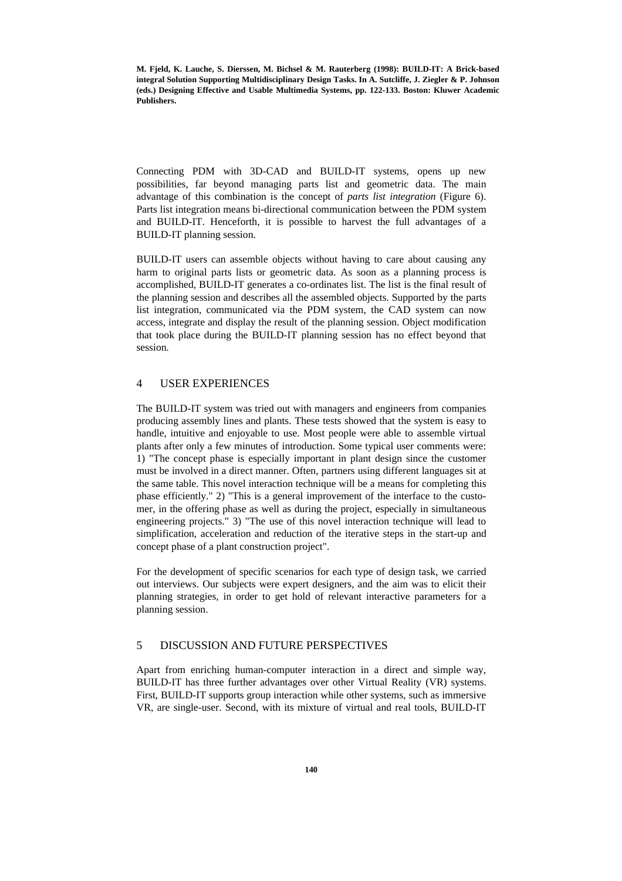Connecting PDM with 3D-CAD and BUILD-IT systems, opens up new possibilities, far beyond managing parts list and geometric data. The main advantage of this combination is the concept of *parts list integration* (Figure 6). Parts list integration means bi-directional communication between the PDM system and BUILD-IT. Henceforth, it is possible to harvest the full advantages of a BUILD-IT planning session.

BUILD-IT users can assemble objects without having to care about causing any harm to original parts lists or geometric data. As soon as a planning process is accomplished, BUILD-IT generates a co-ordinates list. The list is the final result of the planning session and describes all the assembled objects. Supported by the parts list integration, communicated via the PDM system, the CAD system can now access, integrate and display the result of the planning session. Object modification that took place during the BUILD-IT planning session has no effect beyond that session.

## 4 USER EXPERIENCES

The BUILD-IT system was tried out with managers and engineers from companies producing assembly lines and plants. These tests showed that the system is easy to handle, intuitive and enjoyable to use. Most people were able to assemble virtual plants after only a few minutes of introduction. Some typical user comments were: 1) "The concept phase is especially important in plant design since the customer must be involved in a direct manner. Often, partners using different languages sit at the same table. This novel interaction technique will be a means for completing this phase efficiently." 2) "This is a general improvement of the interface to the customer, in the offering phase as well as during the project, especially in simultaneous engineering projects." 3) "The use of this novel interaction technique will lead to simplification, acceleration and reduction of the iterative steps in the start-up and concept phase of a plant construction project".

For the development of specific scenarios for each type of design task, we carried out interviews. Our subjects were expert designers, and the aim was to elicit their planning strategies, in order to get hold of relevant interactive parameters for a planning session.

## 5 DISCUSSION AND FUTURE PERSPECTIVES

Apart from enriching human-computer interaction in a direct and simple way, BUILD-IT has three further advantages over other Virtual Reality (VR) systems. First, BUILD-IT supports group interaction while other systems, such as immersive VR, are single-user. Second, with its mixture of virtual and real tools, BUILD-IT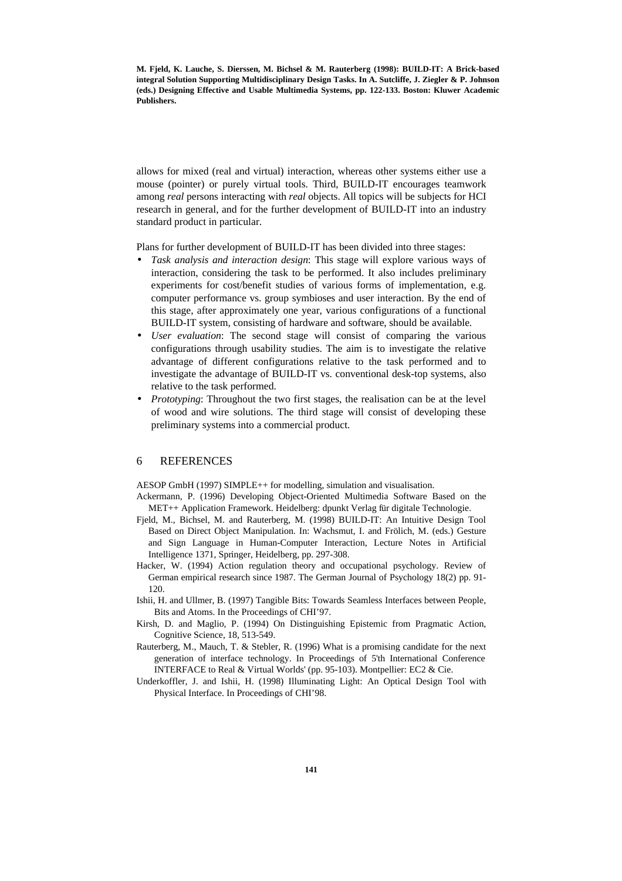allows for mixed (real and virtual) interaction, whereas other systems either use a mouse (pointer) or purely virtual tools. Third, BUILD-IT encourages teamwork among *real* persons interacting with *real* objects. All topics will be subjects for HCI research in general, and for the further development of BUILD-IT into an industry standard product in particular.

Plans for further development of BUILD-IT has been divided into three stages:

- *Task analysis and interaction design*: This stage will explore various ways of interaction, considering the task to be performed. It also includes preliminary experiments for cost/benefit studies of various forms of implementation, e.g. computer performance vs. group symbioses and user interaction. By the end of this stage, after approximately one year, various configurations of a functional BUILD-IT system, consisting of hardware and software, should be available.
- *User evaluation*: The second stage will consist of comparing the various configurations through usability studies. The aim is to investigate the relative advantage of different configurations relative to the task performed and to investigate the advantage of BUILD-IT vs. conventional desk-top systems, also relative to the task performed.
- *Prototyping*: Throughout the two first stages, the realisation can be at the level of wood and wire solutions. The third stage will consist of developing these preliminary systems into a commercial product.

#### 6 REFERENCES

AESOP GmbH (1997) SIMPLE++ for modelling, simulation and visualisation.

- Ackermann, P. (1996) Developing Object-Oriented Multimedia Software Based on the MET++ Application Framework. Heidelberg: dpunkt Verlag für digitale Technologie.
- Fjeld, M., Bichsel, M. and Rauterberg, M. (1998) BUILD-IT: An Intuitive Design Tool Based on Direct Object Manipulation. In: Wachsmut, I. and Frölich, M. (eds.) Gesture and Sign Language in Human-Computer Interaction, Lecture Notes in Artificial Intelligence 1371, Springer, Heidelberg, pp. 297-308.
- Hacker, W. (1994) Action regulation theory and occupational psychology. Review of German empirical research since 1987. The German Journal of Psychology 18(2) pp. 91- 120.
- Ishii, H. and Ullmer, B. (1997) Tangible Bits: Towards Seamless Interfaces between People, Bits and Atoms. In the Proceedings of CHI'97.
- Kirsh, D. and Maglio, P. (1994) On Distinguishing Epistemic from Pragmatic Action, Cognitive Science, 18, 513-549.
- Rauterberg, M., Mauch, T. & Stebler, R. (1996) What is a promising candidate for the next generation of interface technology. In Proceedings of 5'th International Conference INTERFACE to Real & Virtual Worlds' (pp. 95-103). Montpellier: EC2 & Cie.
- Underkoffler, J. and Ishii, H. (1998) Illuminating Light: An Optical Design Tool with Physical Interface. In Proceedings of CHI'98.